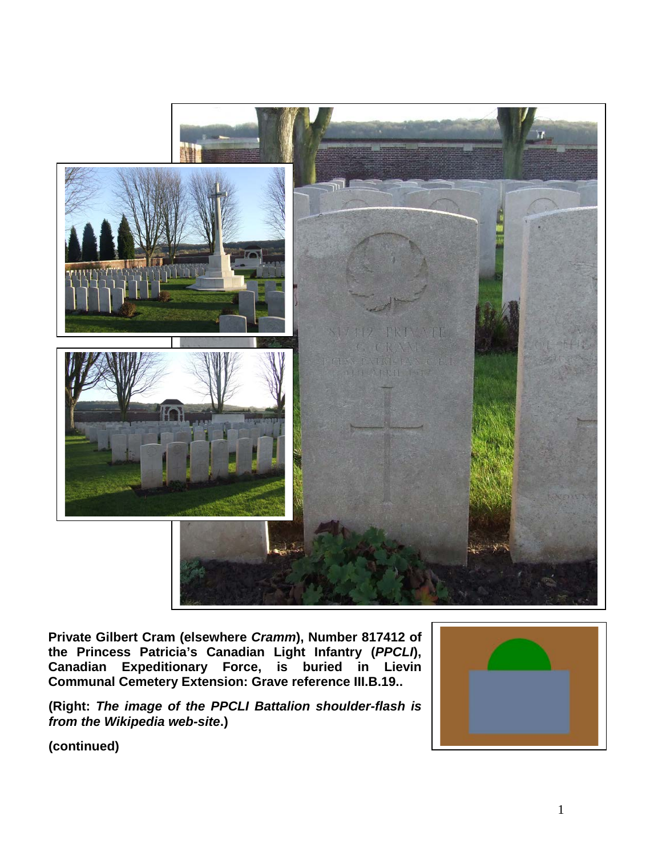

**Private Gilbert Cram (elsewhere** *Cramm***), Number 817412 of the Princess Patricia's Canadian Light Infantry (***PPCLI***), Canadian Expeditionary Force, is buried in Lievin Communal Cemetery Extension: Grave reference III.B.19..**

**(Right:** *The image of the PPCLI Battalion shoulder-flash is from the Wikipedia web-site***.)**

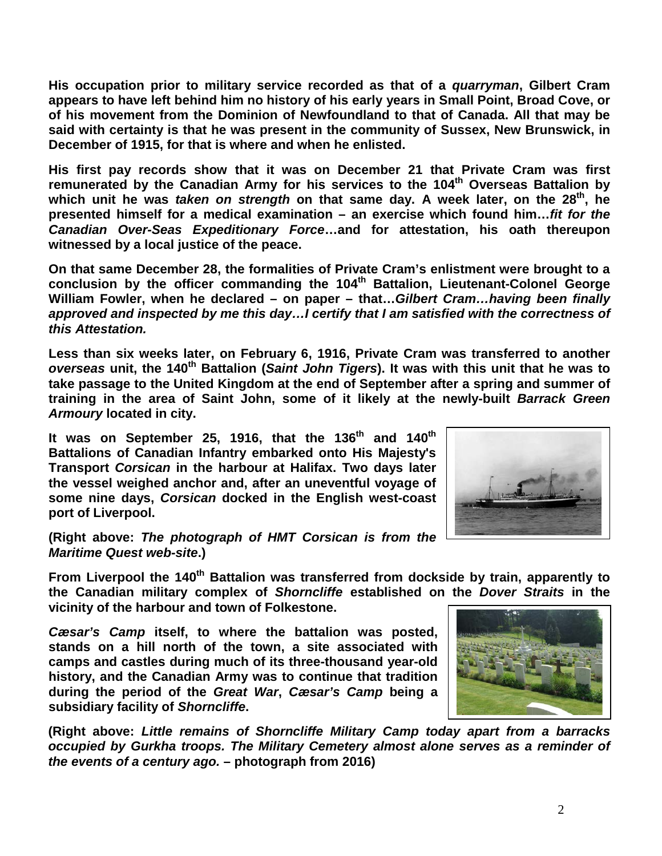**His occupation prior to military service recorded as that of a** *quarryman***, Gilbert Cram appears to have left behind him no history of his early years in Small Point, Broad Cove, or of his movement from the Dominion of Newfoundland to that of Canada. All that may be said with certainty is that he was present in the community of Sussex, New Brunswick, in December of 1915, for that is where and when he enlisted.**

**His first pay records show that it was on December 21 that Private Cram was first**  remunerated by the Canadian Army for his services to the 104<sup>th</sup> Overseas Battalion by which unit he was *taken on strength* on that same day. A week later, on the 28<sup>th</sup>, he **presented himself for a medical examination – an exercise which found him…***fit for the Canadian Over-Seas Expeditionary Force***…and for attestation, his oath thereupon witnessed by a local justice of the peace.**

**On that same December 28, the formalities of Private Cram's enlistment were brought to a conclusion by the officer commanding the 104th Battalion, Lieutenant-Colonel George William Fowler, when he declared – on paper – that…***Gilbert Cram…having been finally approved and inspected by me this day…I certify that I am satisfied with the correctness of this Attestation.*

**Less than six weeks later, on February 6, 1916, Private Cram was transferred to another**  *overseas* **unit, the 140th Battalion (***Saint John Tigers***). It was with this unit that he was to take passage to the United Kingdom at the end of September after a spring and summer of training in the area of Saint John, some of it likely at the newly-built** *Barrack Green Armoury* **located in city.**

**It was on September 25, 1916, that the 136th and 140th Battalions of Canadian Infantry embarked onto His Majesty's Transport** *Corsican* **in the harbour at Halifax. Two days later the vessel weighed anchor and, after an uneventful voyage of some nine days,** *Corsican* **docked in the English west-coast port of Liverpool.**



**(Right above:** *The photograph of HMT Corsican is from the Maritime Quest web-site***.)**

From Liverpool the 140<sup>th</sup> Battalion was transferred from dockside by train, apparently to **the Canadian military complex of** *Shorncliffe* **established on the** *Dover Straits* **in the vicinity of the harbour and town of Folkestone.** 

*Cæsar's Camp* **itself, to where the battalion was posted, stands on a hill north of the town, a site associated with camps and castles during much of its three-thousand year-old history, and the Canadian Army was to continue that tradition during the period of the** *Great War***,** *Cæsar's Camp* **being a subsidiary facility of** *Shorncliffe***.**

**(Right above:** *Little remains of Shorncliffe Military Camp today apart from a barracks occupied by Gurkha troops. The Military Cemetery almost alone serves as a reminder of the events of a century ago.* **– photograph from 2016)**

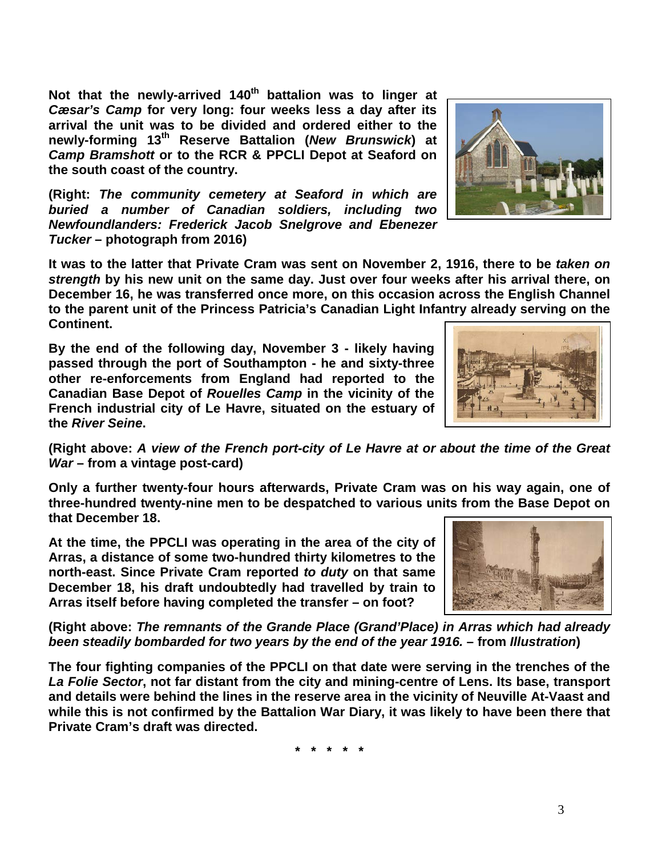Not that the newly-arrived 140<sup>th</sup> battalion was to linger at *Cæsar's Camp* **for very long: four weeks less a day after its arrival the unit was to be divided and ordered either to the newly-forming 13th Reserve Battalion (***New Brunswick***) at**  *Camp Bramshott* **or to the RCR & PPCLI Depot at Seaford on the south coast of the country.**

**(Right:** *The community cemetery at Seaford in which are buried a number of Canadian soldiers, including two Newfoundlanders: Frederick Jacob Snelgrove and Ebenezer Tucker* **– photograph from 2016)**

**It was to the latter that Private Cram was sent on November 2, 1916, there to be** *taken on strength* **by his new unit on the same day. Just over four weeks after his arrival there, on December 16, he was transferred once more, on this occasion across the English Channel to the parent unit of the Princess Patricia's Canadian Light Infantry already serving on the Continent.** 

**By the end of the following day, November 3 - likely having passed through the port of Southampton - he and sixty-three other re-enforcements from England had reported to the Canadian Base Depot of** *Rouelles Camp* **in the vicinity of the French industrial city of Le Havre, situated on the estuary of the** *River Seine***.**

**(Right above:** *A view of the French port-city of Le Havre at or about the time of the Great War* **– from a vintage post-card)**

**Only a further twenty-four hours afterwards, Private Cram was on his way again, one of three-hundred twenty-nine men to be despatched to various units from the Base Depot on that December 18.** 

**At the time, the PPCLI was operating in the area of the city of Arras, a distance of some two-hundred thirty kilometres to the north-east. Since Private Cram reported** *to duty* **on that same December 18, his draft undoubtedly had travelled by train to Arras itself before having completed the transfer – on foot?**

**(Right above:** *The remnants of the Grande Place (Grand'Place) in Arras which had already been steadily bombarded for two years by the end of the year 1916.* **– from** *Illustration***)**

**The four fighting companies of the PPCLI on that date were serving in the trenches of the**  *La Folie Sector***, not far distant from the city and mining-centre of Lens. Its base, transport and details were behind the lines in the reserve area in the vicinity of Neuville At-Vaast and while this is not confirmed by the Battalion War Diary, it was likely to have been there that Private Cram's draft was directed.**

**\* \* \* \* \***





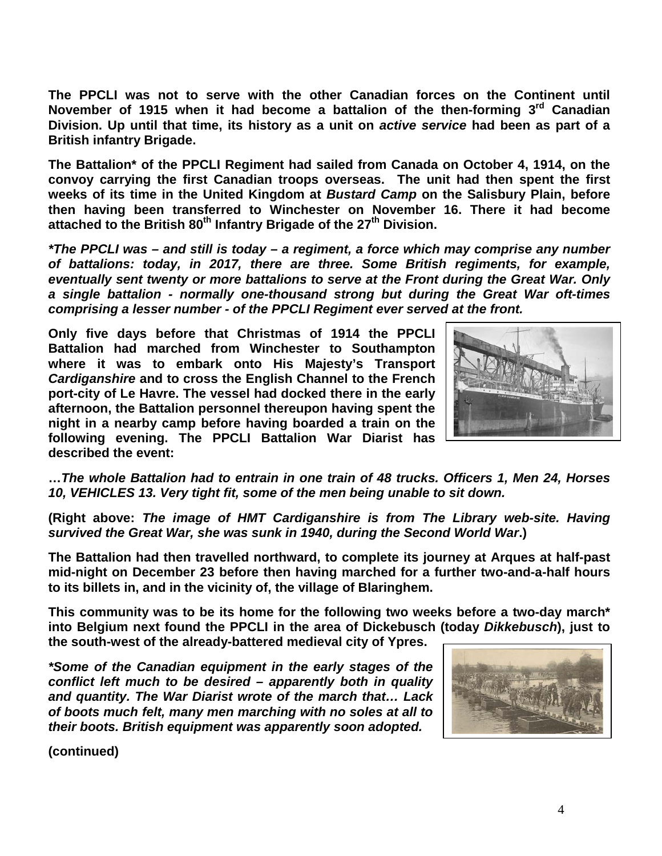**The PPCLI was not to serve with the other Canadian forces on the Continent until November of 1915 when it had become a battalion of the then-forming 3rd Canadian Division. Up until that time, its history as a unit on** *active service* **had been as part of a British infantry Brigade.**

**The Battalion\* of the PPCLI Regiment had sailed from Canada on October 4, 1914, on the convoy carrying the first Canadian troops overseas. The unit had then spent the first weeks of its time in the United Kingdom at** *Bustard Camp* **on the Salisbury Plain, before then having been transferred to Winchester on November 16. There it had become attached to the British 80th Infantry Brigade of the 27th Division.**

*\*The PPCLI was – and still is today – a regiment, a force which may comprise any number of battalions: today, in 2017, there are three. Some British regiments, for example, eventually sent twenty or more battalions to serve at the Front during the Great War. Only a single battalion - normally one-thousand strong but during the Great War oft-times comprising a lesser number - of the PPCLI Regiment ever served at the front.* 

**Only five days before that Christmas of 1914 the PPCLI Battalion had marched from Winchester to Southampton where it was to embark onto His Majesty's Transport**  *Cardiganshire* **and to cross the English Channel to the French port-city of Le Havre. The vessel had docked there in the early afternoon, the Battalion personnel thereupon having spent the night in a nearby camp before having boarded a train on the following evening. The PPCLI Battalion War Diarist has described the event:**



**…***The whole Battalion had to entrain in one train of 48 trucks. Officers 1, Men 24, Horses 10, VEHICLES 13. Very tight fit, some of the men being unable to sit down.*

**(Right above:** *The image of HMT Cardiganshire is from The Library web-site. Having survived the Great War, she was sunk in 1940, during the Second World War***.)**

**The Battalion had then travelled northward, to complete its journey at Arques at half-past mid-night on December 23 before then having marched for a further two-and-a-half hours to its billets in, and in the vicinity of, the village of Blaringhem.** 

**This community was to be its home for the following two weeks before a two-day march\* into Belgium next found the PPCLI in the area of Dickebusch (today** *Dikkebusch***), just to the south-west of the already-battered medieval city of Ypres.**

*\*Some of the Canadian equipment in the early stages of the conflict left much to be desired – apparently both in quality and quantity. The War Diarist wrote of the march that… Lack of boots much felt, many men marching with no soles at all to their boots. British equipment was apparently soon adopted.*

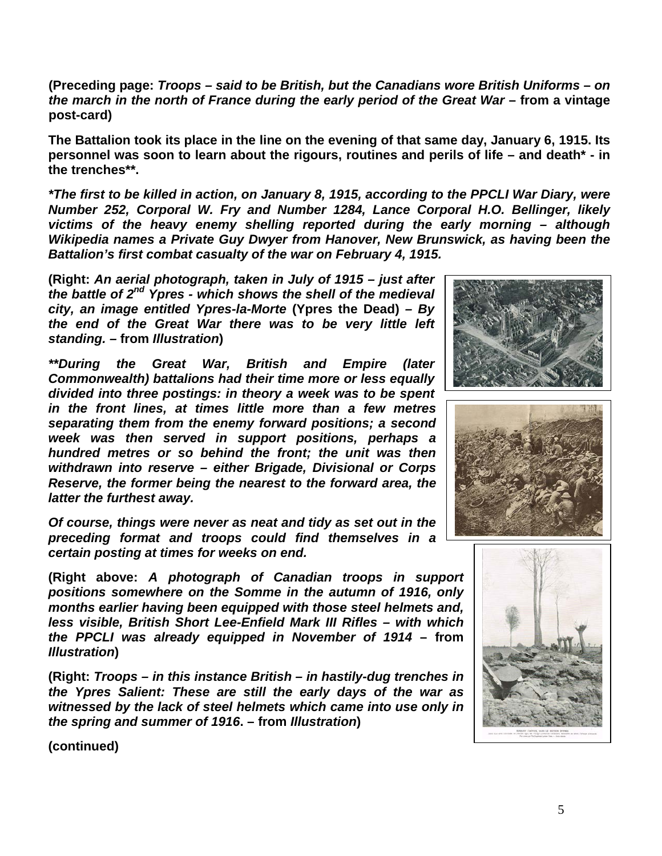**(Preceding page:** *Troops – said to be British, but the Canadians wore British Uniforms – on the march in the north of France during the early period of the Great War* **– from a vintage post-card)**

**The Battalion took its place in the line on the evening of that same day, January 6, 1915. Its personnel was soon to learn about the rigours, routines and perils of life – and death\* - in the trenches\*\*.**

*\*The first to be killed in action, on January 8, 1915, according to the PPCLI War Diary, were Number 252, Corporal W. Fry and Number 1284, Lance Corporal H.O. Bellinger, likely victims of the heavy enemy shelling reported during the early morning – although Wikipedia names a Private Guy Dwyer from Hanover, New Brunswick, as having been the Battalion's first combat casualty of the war on February 4, 1915.*

**(Right:** *An aerial photograph, taken in July of 1915 – just after the battle of 2nd Ypres - which shows the shell of the medieval city, an image entitled Ypres-la-Morte* **(Ypres the Dead)** *– By the end of the Great War there was to be very little left standing. –* **from** *Illustration***)**

*\*\*During the Great War, British and Empire (later Commonwealth) battalions had their time more or less equally divided into three postings: in theory a week was to be spent in the front lines, at times little more than a few metres separating them from the enemy forward positions; a second week was then served in support positions, perhaps a hundred metres or so behind the front; the unit was then withdrawn into reserve – either Brigade, Divisional or Corps Reserve, the former being the nearest to the forward area, the latter the furthest away.* 

*Of course, things were never as neat and tidy as set out in the preceding format and troops could find themselves in a certain posting at times for weeks on end.*

**(Right above:** *A photograph of Canadian troops in support positions somewhere on the Somme in the autumn of 1916, only months earlier having been equipped with those steel helmets and, less visible, British Short Lee-Enfield Mark III Rifles – with which the PPCLI was already equipped in November of 1914* **– from**  *Illustration***)**

**(Right:** *Troops – in this instance British – in hastily-dug trenches in the Ypres Salient: These are still the early days of the war as witnessed by the lack of steel helmets which came into use only in the spring and summer of 1916***. – from** *Illustration***)**





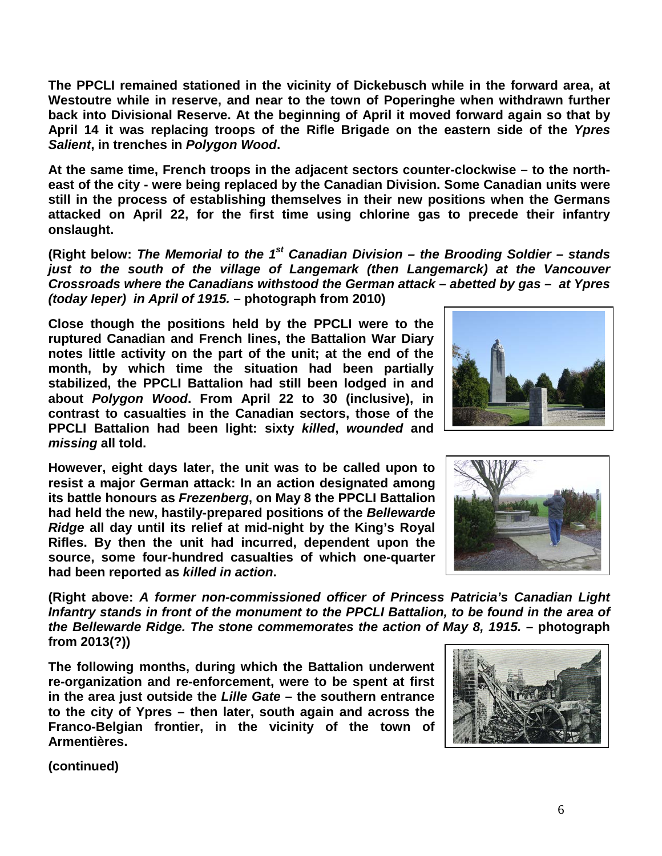**The PPCLI remained stationed in the vicinity of Dickebusch while in the forward area, at Westoutre while in reserve, and near to the town of Poperinghe when withdrawn further back into Divisional Reserve. At the beginning of April it moved forward again so that by April 14 it was replacing troops of the Rifle Brigade on the eastern side of the** *Ypres Salient***, in trenches in** *Polygon Wood***.**

**At the same time, French troops in the adjacent sectors counter-clockwise – to the northeast of the city - were being replaced by the Canadian Division. Some Canadian units were still in the process of establishing themselves in their new positions when the Germans attacked on April 22, for the first time using chlorine gas to precede their infantry onslaught.**

**(Right below:** *The Memorial to the 1st Canadian Division – the Brooding Soldier – stands*  just to the south of the village of Langemark (then Langemarck) at the Vancouver *Crossroads where the Canadians withstood the German attack – abetted by gas – at Ypres (today Ieper) in April of 1915.* **– photograph from 2010)**

**Close though the positions held by the PPCLI were to the ruptured Canadian and French lines, the Battalion War Diary notes little activity on the part of the unit; at the end of the month, by which time the situation had been partially stabilized, the PPCLI Battalion had still been lodged in and about** *Polygon Wood***. From April 22 to 30 (inclusive), in contrast to casualties in the Canadian sectors, those of the PPCLI Battalion had been light: sixty** *killed***,** *wounded* **and**  *missing* **all told.**

**However, eight days later, the unit was to be called upon to resist a major German attack: In an action designated among its battle honours as** *Frezenberg***, on May 8 the PPCLI Battalion had held the new, hastily-prepared positions of the** *Bellewarde Ridge* **all day until its relief at mid-night by the King's Royal Rifles. By then the unit had incurred, dependent upon the source, some four-hundred casualties of which one-quarter had been reported as** *killed in action***.**

**(Right above:** *A former non-commissioned officer of Princess Patricia's Canadian Light Infantry stands in front of the monument to the PPCLI Battalion, to be found in the area of the Bellewarde Ridge. The stone commemorates the action of May 8, 1915.* **– photograph from 2013(?))**

**The following months, during which the Battalion underwent re-organization and re-enforcement, were to be spent at first in the area just outside the** *Lille Gate* **– the southern entrance to the city of Ypres – then later, south again and across the Franco-Belgian frontier, in the vicinity of the town of Armentières.** 





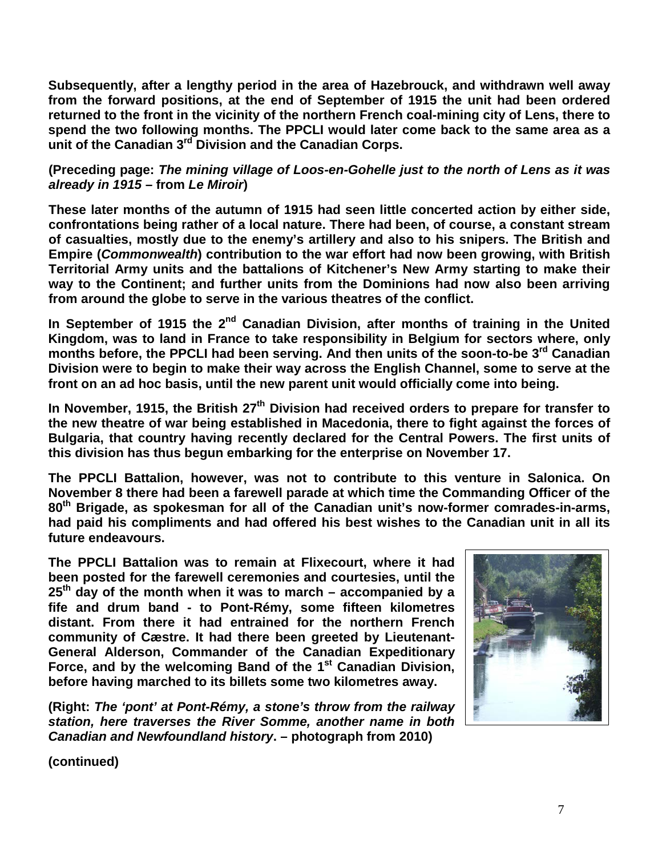**Subsequently, after a lengthy period in the area of Hazebrouck, and withdrawn well away from the forward positions, at the end of September of 1915 the unit had been ordered returned to the front in the vicinity of the northern French coal-mining city of Lens, there to spend the two following months. The PPCLI would later come back to the same area as a unit of the Canadian 3rd Division and the Canadian Corps.**

**(Preceding page:** *The mining village of Loos-en-Gohelle just to the north of Lens as it was already in 1915* **– from** *Le Miroir***)**

**These later months of the autumn of 1915 had seen little concerted action by either side, confrontations being rather of a local nature. There had been, of course, a constant stream of casualties, mostly due to the enemy's artillery and also to his snipers. The British and Empire (***Commonwealth***) contribution to the war effort had now been growing, with British Territorial Army units and the battalions of Kitchener's New Army starting to make their way to the Continent; and further units from the Dominions had now also been arriving from around the globe to serve in the various theatres of the conflict.**

In September of 1915 the 2<sup>nd</sup> Canadian Division, after months of training in the United **Kingdom, was to land in France to take responsibility in Belgium for sectors where, only months before, the PPCLI had been serving. And then units of the soon-to-be 3rd Canadian Division were to begin to make their way across the English Channel, some to serve at the front on an ad hoc basis, until the new parent unit would officially come into being.**

In November, 1915, the British 27<sup>th</sup> Division had received orders to prepare for transfer to **the new theatre of war being established in Macedonia, there to fight against the forces of Bulgaria, that country having recently declared for the Central Powers. The first units of this division has thus begun embarking for the enterprise on November 17.**

**The PPCLI Battalion, however, was not to contribute to this venture in Salonica. On November 8 there had been a farewell parade at which time the Commanding Officer of the 80th Brigade, as spokesman for all of the Canadian unit's now-former comrades-in-arms, had paid his compliments and had offered his best wishes to the Canadian unit in all its future endeavours.** 

**The PPCLI Battalion was to remain at Flixecourt, where it had been posted for the farewell ceremonies and courtesies, until the 25th day of the month when it was to march – accompanied by a fife and drum band - to Pont-Rémy, some fifteen kilometres distant. From there it had entrained for the northern French community of Cæstre. It had there been greeted by Lieutenant-General Alderson, Commander of the Canadian Expeditionary Force, and by the welcoming Band of the 1st Canadian Division, before having marched to its billets some two kilometres away.** 

**(Right:** *The 'pont' at Pont-Rémy, a stone's throw from the railway station, here traverses the River Somme, another name in both Canadian and Newfoundland history***. – photograph from 2010)**

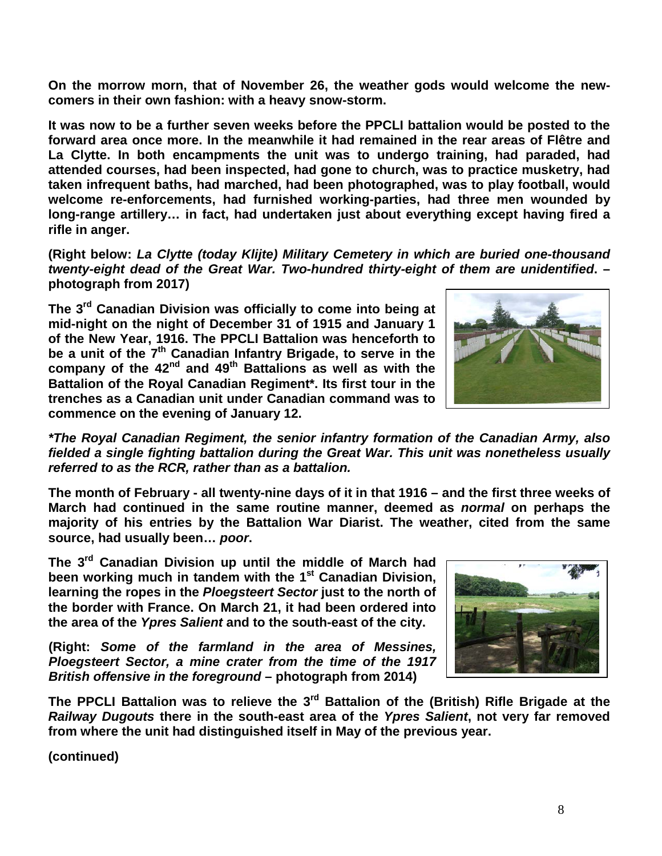**On the morrow morn, that of November 26, the weather gods would welcome the newcomers in their own fashion: with a heavy snow-storm.**

**It was now to be a further seven weeks before the PPCLI battalion would be posted to the forward area once more. In the meanwhile it had remained in the rear areas of Flêtre and La Clytte. In both encampments the unit was to undergo training, had paraded, had attended courses, had been inspected, had gone to church, was to practice musketry, had taken infrequent baths, had marched, had been photographed, was to play football, would welcome re-enforcements, had furnished working-parties, had three men wounded by long-range artillery… in fact, had undertaken just about everything except having fired a rifle in anger.**

**(Right below:** *La Clytte (today Klijte) Military Cemetery in which are buried one-thousand twenty-eight dead of the Great War. Two-hundred thirty-eight of them are unidentified***. – photograph from 2017)**

**The 3rd Canadian Division was officially to come into being at mid-night on the night of December 31 of 1915 and January 1 of the New Year, 1916. The PPCLI Battalion was henceforth to**  be a unit of the 7<sup>th</sup> Canadian Infantry Brigade, to serve in the **company of the 42nd and 49th Battalions as well as with the Battalion of the Royal Canadian Regiment\*. Its first tour in the trenches as a Canadian unit under Canadian command was to commence on the evening of January 12.**



*\*The Royal Canadian Regiment, the senior infantry formation of the Canadian Army, also fielded a single fighting battalion during the Great War. This unit was nonetheless usually referred to as the RCR, rather than as a battalion.*

**The month of February - all twenty-nine days of it in that 1916 – and the first three weeks of March had continued in the same routine manner, deemed as** *normal* **on perhaps the majority of his entries by the Battalion War Diarist. The weather, cited from the same source, had usually been…** *poor***.**

**The 3rd Canadian Division up until the middle of March had been working much in tandem with the 1st Canadian Division, learning the ropes in the** *Ploegsteert Sector* **just to the north of the border with France. On March 21, it had been ordered into the area of the** *Ypres Salient* **and to the south-east of the city.**

**(Right:** *Some of the farmland in the area of Messines, Ploegsteert Sector, a mine crater from the time of the 1917 British offensive in the foreground* **– photograph from 2014)**



**The PPCLI Battalion was to relieve the 3rd Battalion of the (British) Rifle Brigade at the**  *Railway Dugouts* **there in the south-east area of the** *Ypres Salient***, not very far removed from where the unit had distinguished itself in May of the previous year.**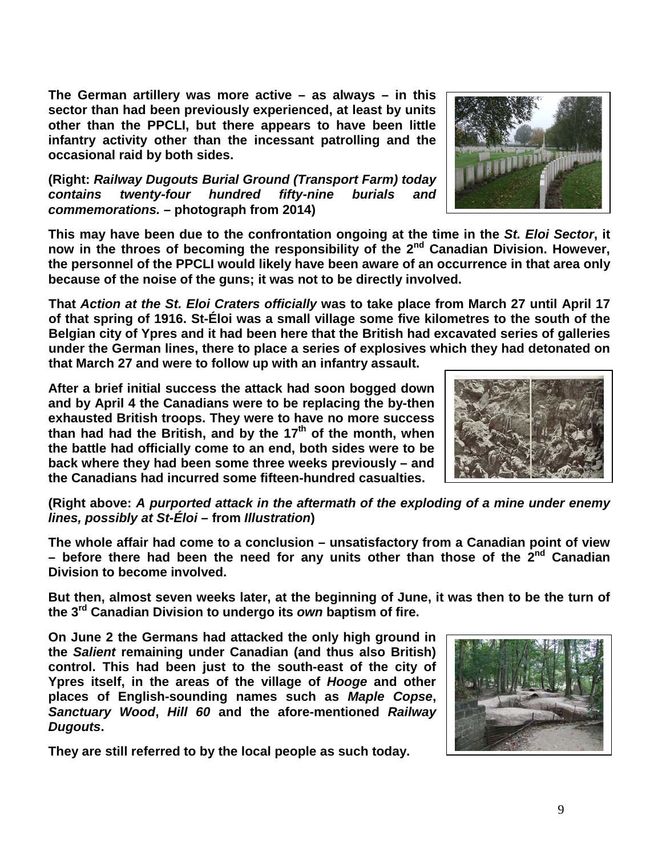**The German artillery was more active – as always – in this sector than had been previously experienced, at least by units other than the PPCLI, but there appears to have been little infantry activity other than the incessant patrolling and the occasional raid by both sides.**

**(Right:** *Railway Dugouts Burial Ground (Transport Farm) today contains twenty-four hundred fifty-nine burials and commemorations.* **– photograph from 2014)**

**This may have been due to the confrontation ongoing at the time in the** *St. Eloi Sector***, it now in the throes of becoming the responsibility of the 2nd Canadian Division. However, the personnel of the PPCLI would likely have been aware of an occurrence in that area only because of the noise of the guns; it was not to be directly involved.**

**That** *Action at the St. Eloi Craters officially* **was to take place from March 27 until April 17 of that spring of 1916. St-Éloi was a small village some five kilometres to the south of the Belgian city of Ypres and it had been here that the British had excavated series of galleries under the German lines, there to place a series of explosives which they had detonated on that March 27 and were to follow up with an infantry assault.** 

**After a brief initial success the attack had soon bogged down and by April 4 the Canadians were to be replacing the by-then exhausted British troops. They were to have no more success than had had the British, and by the 17th of the month, when the battle had officially come to an end, both sides were to be back where they had been some three weeks previously – and the Canadians had incurred some fifteen-hundred casualties.**

**(Right above:** *A purported attack in the aftermath of the exploding of a mine under enemy lines, possibly at St-Éloi* **– from** *Illustration***)**

**The whole affair had come to a conclusion – unsatisfactory from a Canadian point of view – before there had been the need for any units other than those of the 2nd Canadian Division to become involved.**

**But then, almost seven weeks later, at the beginning of June, it was then to be the turn of the 3rd Canadian Division to undergo its** *own* **baptism of fire.**

**On June 2 the Germans had attacked the only high ground in the** *Salient* **remaining under Canadian (and thus also British) control. This had been just to the south-east of the city of Ypres itself, in the areas of the village of** *Hooge* **and other places of English-sounding names such as** *Maple Copse***,**  *Sanctuary Wood***,** *Hill 60* **and the afore-mentioned** *Railway Dugouts***.** 

**They are still referred to by the local people as such today.**



9



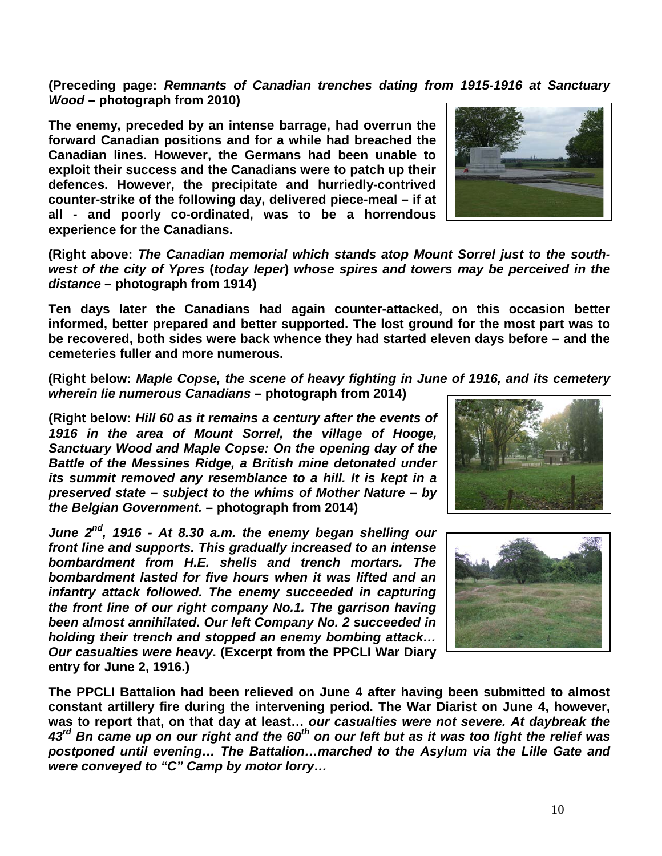10

**(Preceding page:** *Remnants of Canadian trenches dating from 1915-1916 at Sanctuary Wood* **– photograph from 2010)**

**The enemy, preceded by an intense barrage, had overrun the forward Canadian positions and for a while had breached the Canadian lines. However, the Germans had been unable to exploit their success and the Canadians were to patch up their defences. However, the precipitate and hurriedly-contrived counter-strike of the following day, delivered piece-meal – if at all - and poorly co-ordinated, was to be a horrendous experience for the Canadians.**

**(Right above:** *The Canadian memorial which stands atop Mount Sorrel just to the southwest of the city of Ypres* **(***today Ieper***)** *whose spires and towers may be perceived in the distance* **– photograph from 1914)**

**Ten days later the Canadians had again counter-attacked, on this occasion better informed, better prepared and better supported. The lost ground for the most part was to be recovered, both sides were back whence they had started eleven days before – and the cemeteries fuller and more numerous.**

**(Right below:** *Maple Copse, the scene of heavy fighting in June of 1916, and its cemetery wherein lie numerous Canadians* **– photograph from 2014)**

**(Right below:** *Hill 60 as it remains a century after the events of 1916 in the area of Mount Sorrel, the village of Hooge, Sanctuary Wood and Maple Copse: On the opening day of the Battle of the Messines Ridge, a British mine detonated under its summit removed any resemblance to a hill. It is kept in a preserved state – subject to the whims of Mother Nature – by the Belgian Government.* **– photograph from 2014)**

*June 2nd, 1916 - At 8.30 a.m. the enemy began shelling our front line and supports. This gradually increased to an intense bombardment from H.E. shells and trench mortars. The bombardment lasted for five hours when it was lifted and an infantry attack followed. The enemy succeeded in capturing the front line of our right company No.1. The garrison having been almost annihilated. Our left Company No. 2 succeeded in holding their trench and stopped an enemy bombing attack… Our casualties were heavy***. (Excerpt from the PPCLI War Diary entry for June 2, 1916.)** 

**The PPCLI Battalion had been relieved on June 4 after having been submitted to almost constant artillery fire during the intervening period. The War Diarist on June 4, however, was to report that, on that day at least…** *our casualties were not severe. At daybreak the 43rd Bn came up on our right and the 60th on our left but as it was too light the relief was postponed until evening… The Battalion…marched to the Asylum via the Lille Gate and were conveyed to "C" Camp by motor lorry…*





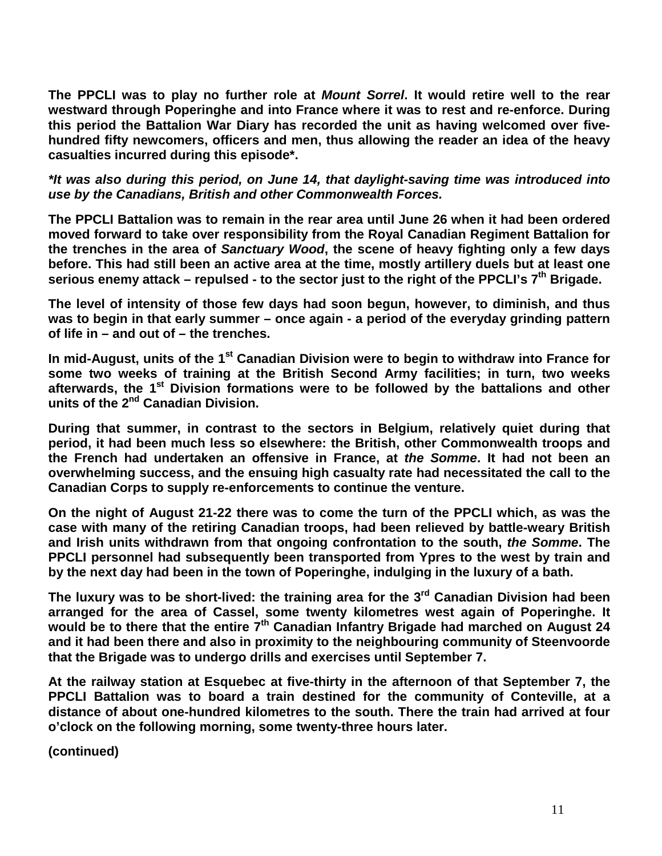**The PPCLI was to play no further role at** *Mount Sorrel***. It would retire well to the rear westward through Poperinghe and into France where it was to rest and re-enforce. During this period the Battalion War Diary has recorded the unit as having welcomed over fivehundred fifty newcomers, officers and men, thus allowing the reader an idea of the heavy casualties incurred during this episode\*.**

*\*It was also during this period, on June 14, that daylight-saving time was introduced into use by the Canadians, British and other Commonwealth Forces.*

**The PPCLI Battalion was to remain in the rear area until June 26 when it had been ordered moved forward to take over responsibility from the Royal Canadian Regiment Battalion for the trenches in the area of** *Sanctuary Wood***, the scene of heavy fighting only a few days before. This had still been an active area at the time, mostly artillery duels but at least one serious enemy attack – repulsed - to the sector just to the right of the PPCLI's 7th Brigade.**

**The level of intensity of those few days had soon begun, however, to diminish, and thus was to begin in that early summer – once again - a period of the everyday grinding pattern of life in – and out of – the trenches.**

**In mid-August, units of the 1st Canadian Division were to begin to withdraw into France for some two weeks of training at the British Second Army facilities; in turn, two weeks afterwards, the 1st Division formations were to be followed by the battalions and other units of the 2nd Canadian Division.** 

**During that summer, in contrast to the sectors in Belgium, relatively quiet during that period, it had been much less so elsewhere: the British, other Commonwealth troops and the French had undertaken an offensive in France, at** *the Somme***. It had not been an overwhelming success, and the ensuing high casualty rate had necessitated the call to the Canadian Corps to supply re-enforcements to continue the venture.** 

**On the night of August 21-22 there was to come the turn of the PPCLI which, as was the case with many of the retiring Canadian troops, had been relieved by battle-weary British and Irish units withdrawn from that ongoing confrontation to the south,** *the Somme***. The PPCLI personnel had subsequently been transported from Ypres to the west by train and by the next day had been in the town of Poperinghe, indulging in the luxury of a bath.** 

**The luxury was to be short-lived: the training area for the 3rd Canadian Division had been arranged for the area of Cassel, some twenty kilometres west again of Poperinghe. It would be to there that the entire 7th Canadian Infantry Brigade had marched on August 24 and it had been there and also in proximity to the neighbouring community of Steenvoorde that the Brigade was to undergo drills and exercises until September 7.**

**At the railway station at Esquebec at five-thirty in the afternoon of that September 7, the PPCLI Battalion was to board a train destined for the community of Conteville, at a distance of about one-hundred kilometres to the south. There the train had arrived at four o'clock on the following morning, some twenty-three hours later.**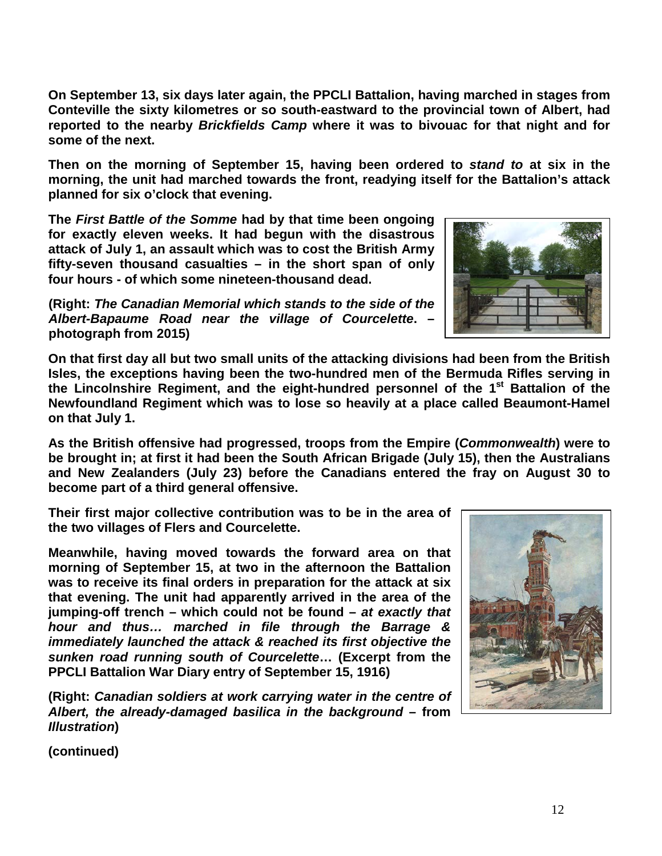**On September 13, six days later again, the PPCLI Battalion, having marched in stages from Conteville the sixty kilometres or so south-eastward to the provincial town of Albert, had reported to the nearby** *Brickfields Camp* **where it was to bivouac for that night and for some of the next.**

**Then on the morning of September 15, having been ordered to** *stand to* **at six in the morning, the unit had marched towards the front, readying itself for the Battalion's attack planned for six o'clock that evening.**

**The** *First Battle of the Somme* **had by that time been ongoing for exactly eleven weeks. It had begun with the disastrous attack of July 1, an assault which was to cost the British Army fifty-seven thousand casualties – in the short span of only four hours - of which some nineteen-thousand dead.** 

**(Right:** *The Canadian Memorial which stands to the side of the Albert-Bapaume Road near the village of Courcelette***. – photograph from 2015)**

**On that first day all but two small units of the attacking divisions had been from the British Isles, the exceptions having been the two-hundred men of the Bermuda Rifles serving in the Lincolnshire Regiment, and the eight-hundred personnel of the 1st Battalion of the Newfoundland Regiment which was to lose so heavily at a place called Beaumont-Hamel on that July 1.**

**As the British offensive had progressed, troops from the Empire (***Commonwealth***) were to be brought in; at first it had been the South African Brigade (July 15), then the Australians and New Zealanders (July 23) before the Canadians entered the fray on August 30 to become part of a third general offensive.** 

**Their first major collective contribution was to be in the area of the two villages of Flers and Courcelette.** 

**Meanwhile, having moved towards the forward area on that morning of September 15, at two in the afternoon the Battalion was to receive its final orders in preparation for the attack at six that evening. The unit had apparently arrived in the area of the jumping-off trench – which could not be found –** *at exactly that hour and thus… marched in file through the Barrage & immediately launched the attack & reached its first objective the sunken road running south of Courcelette***… (Excerpt from the PPCLI Battalion War Diary entry of September 15, 1916)**

**(Right:** *Canadian soldiers at work carrying water in the centre of Albert, the already-damaged basilica in the background* **– from**  *Illustration***)**



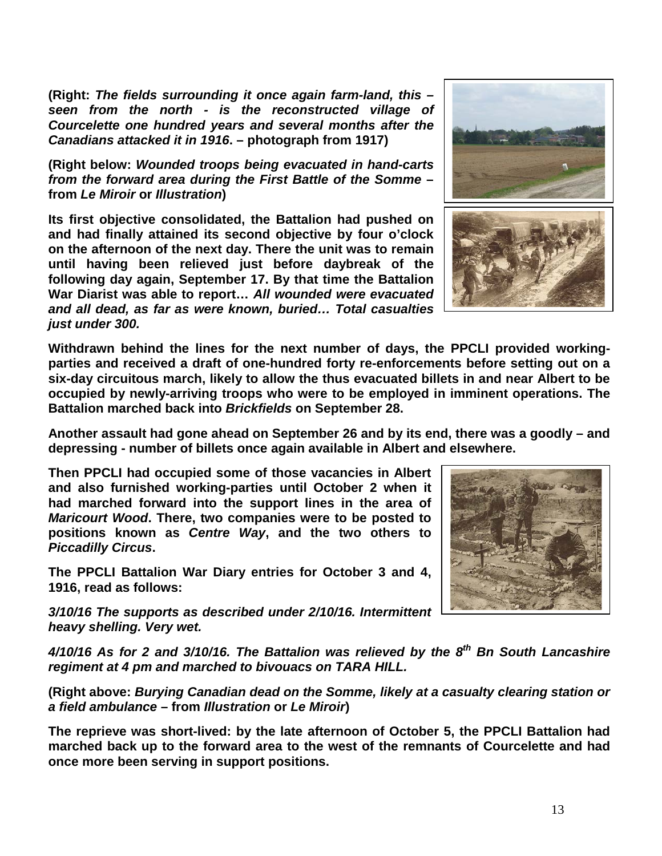**(Right:** *The fields surrounding it once again farm-land, this – seen from the north - is the reconstructed village of Courcelette one hundred years and several months after the Canadians attacked it in 1916***. – photograph from 1917)**

**(Right below:** *Wounded troops being evacuated in hand-carts from the forward area during the First Battle of the Somme* **– from** *Le Miroir* **or** *Illustration***)**

**Its first objective consolidated, the Battalion had pushed on and had finally attained its second objective by four o'clock on the afternoon of the next day. There the unit was to remain until having been relieved just before daybreak of the following day again, September 17. By that time the Battalion War Diarist was able to report…** *All wounded were evacuated and all dead, as far as were known, buried… Total casualties just under 300.*

**Withdrawn behind the lines for the next number of days, the PPCLI provided workingparties and received a draft of one-hundred forty re-enforcements before setting out on a six-day circuitous march, likely to allow the thus evacuated billets in and near Albert to be occupied by newly-arriving troops who were to be employed in imminent operations. The Battalion marched back into** *Brickfields* **on September 28.**

**Another assault had gone ahead on September 26 and by its end, there was a goodly – and depressing - number of billets once again available in Albert and elsewhere.**

**Then PPCLI had occupied some of those vacancies in Albert and also furnished working-parties until October 2 when it had marched forward into the support lines in the area of**  *Maricourt Wood***. There, two companies were to be posted to positions known as** *Centre Way***, and the two others to**  *Piccadilly Circus***.** 

**The PPCLI Battalion War Diary entries for October 3 and 4, 1916, read as follows:**

*3/10/16 The supports as described under 2/10/16. Intermittent heavy shelling. Very wet.*

*4/10/16 As for 2 and 3/10/16. The Battalion was relieved by the 8th Bn South Lancashire regiment at 4 pm and marched to bivouacs on TARA HILL.*

**(Right above:** *Burying Canadian dead on the Somme, likely at a casualty clearing station or a field ambulance* **– from** *Illustration* **or** *Le Miroir***)**

**The reprieve was short-lived: by the late afternoon of October 5, the PPCLI Battalion had marched back up to the forward area to the west of the remnants of Courcelette and had once more been serving in support positions.**



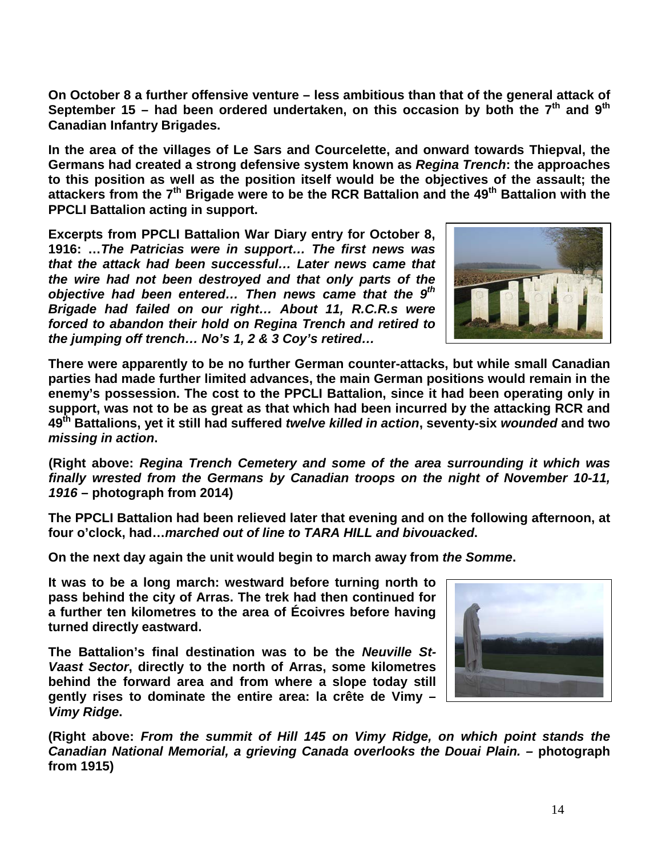**On October 8 a further offensive venture – less ambitious than that of the general attack of September 15 – had been ordered undertaken, on this occasion by both the 7th and 9th Canadian Infantry Brigades.** 

**In the area of the villages of Le Sars and Courcelette, and onward towards Thiepval, the Germans had created a strong defensive system known as** *Regina Trench***: the approaches to this position as well as the position itself would be the objectives of the assault; the attackers from the 7th Brigade were to be the RCR Battalion and the 49th Battalion with the PPCLI Battalion acting in support.** 

**Excerpts from PPCLI Battalion War Diary entry for October 8, 1916: …***The Patricias were in support… The first news was that the attack had been successful… Later news came that the wire had not been destroyed and that only parts of the objective had been entered… Then news came that the 9th Brigade had failed on our right… About 11, R.C.R.s were forced to abandon their hold on Regina Trench and retired to the jumping off trench… No's 1, 2 & 3 Coy's retired…*



**There were apparently to be no further German counter-attacks, but while small Canadian parties had made further limited advances, the main German positions would remain in the enemy's possession. The cost to the PPCLI Battalion, since it had been operating only in support, was not to be as great as that which had been incurred by the attacking RCR and 49th Battalions, yet it still had suffered** *twelve killed in action***, seventy-six** *wounded* **and two**  *missing in action***.** 

**(Right above:** *Regina Trench Cemetery and some of the area surrounding it which was finally wrested from the Germans by Canadian troops on the night of November 10-11, 1916* **– photograph from 2014)**

**The PPCLI Battalion had been relieved later that evening and on the following afternoon, at four o'clock, had…***marched out of line to TARA HILL and bivouacked***.**

**On the next day again the unit would begin to march away from** *the Somme***.**

**It was to be a long march: westward before turning north to pass behind the city of Arras. The trek had then continued for a further ten kilometres to the area of Écoivres before having turned directly eastward.** 

**The Battalion's final destination was to be the** *Neuville St-Vaast Sector***, directly to the north of Arras, some kilometres behind the forward area and from where a slope today still gently rises to dominate the entire area: la crête de Vimy –** *Vimy Ridge***.** 



**(Right above:** *From the summit of Hill 145 on Vimy Ridge, on which point stands the Canadian National Memorial, a grieving Canada overlooks the Douai Plain. –* **photograph from 1915)**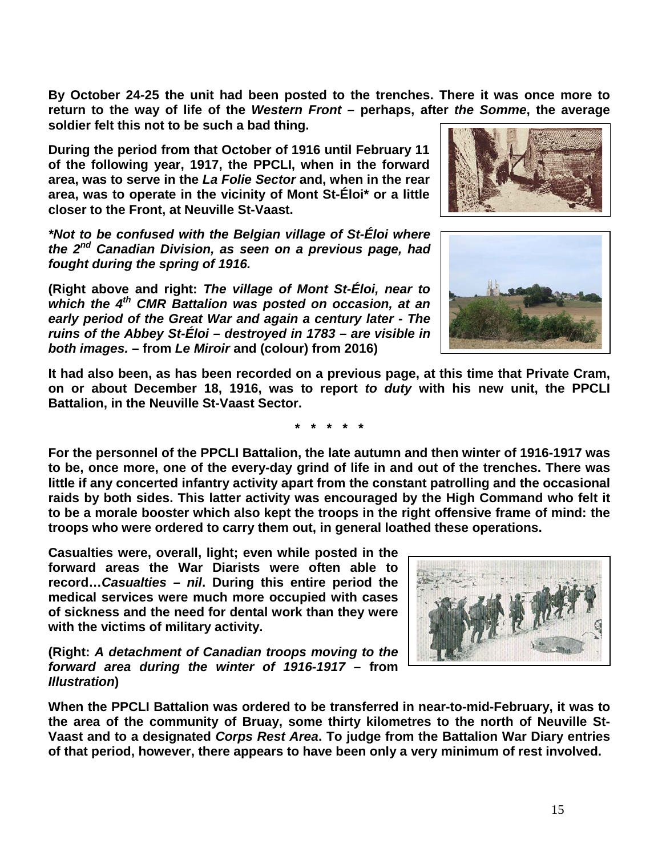**By October 24-25 the unit had been posted to the trenches. There it was once more to return to the way of life of the** *Western Front* **– perhaps, after** *the Somme***, the average soldier felt this not to be such a bad thing.**

**During the period from that October of 1916 until February 11 of the following year, 1917, the PPCLI, when in the forward area, was to serve in the** *La Folie Sector* **and, when in the rear area, was to operate in the vicinity of Mont St-Éloi\* or a little closer to the Front, at Neuville St-Vaast.** 

*\*Not to be confused with the Belgian village of St-Éloi where the 2nd Canadian Division, as seen on a previous page, had fought during the spring of 1916.*

**(Right above and right:** *The village of Mont St-Éloi, near to which the 4th CMR Battalion was posted on occasion, at an early period of the Great War and again a century later - The ruins of the Abbey St-Éloi – destroyed in 1783 – are visible in both images.* **– from** *Le Miroir* **and (colour) from 2016)**

**It had also been, as has been recorded on a previous page, at this time that Private Cram, on or about December 18, 1916, was to report** *to duty* **with his new unit, the PPCLI Battalion, in the Neuville St-Vaast Sector.**

**For the personnel of the PPCLI Battalion, the late autumn and then winter of 1916-1917 was to be, once more, one of the every-day grind of life in and out of the trenches. There was little if any concerted infantry activity apart from the constant patrolling and the occasional raids by both sides. This latter activity was encouraged by the High Command who felt it to be a morale booster which also kept the troops in the right offensive frame of mind: the troops who were ordered to carry them out, in general loathed these operations.**

**Casualties were, overall, light; even while posted in the forward areas the War Diarists were often able to record…***Casualties – nil***. During this entire period the medical services were much more occupied with cases of sickness and the need for dental work than they were with the victims of military activity.**

**(Right:** *A detachment of Canadian troops moving to the forward area during the winter of 1916-1917* **– from**  *Illustration***)**

**When the PPCLI Battalion was ordered to be transferred in near-to-mid-February, it was to the area of the community of Bruay, some thirty kilometres to the north of Neuville St-Vaast and to a designated** *Corps Rest Area***. To judge from the Battalion War Diary entries of that period, however, there appears to have been only a very minimum of rest involved.**







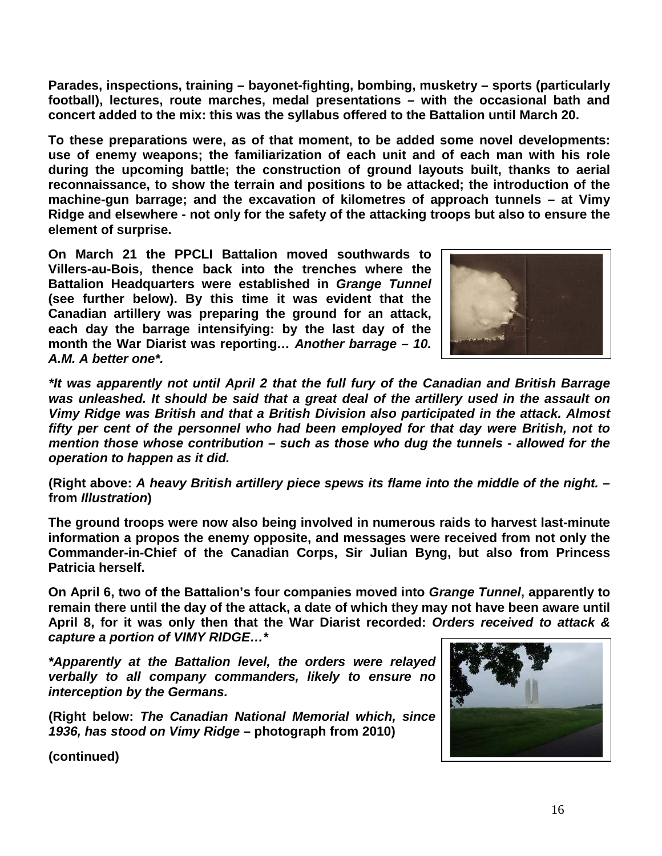**Parades, inspections, training – bayonet-fighting, bombing, musketry – sports (particularly football), lectures, route marches, medal presentations – with the occasional bath and concert added to the mix: this was the syllabus offered to the Battalion until March 20.**

**To these preparations were, as of that moment, to be added some novel developments: use of enemy weapons; the familiarization of each unit and of each man with his role during the upcoming battle; the construction of ground layouts built, thanks to aerial reconnaissance, to show the terrain and positions to be attacked; the introduction of the machine-gun barrage; and the excavation of kilometres of approach tunnels – at Vimy Ridge and elsewhere - not only for the safety of the attacking troops but also to ensure the element of surprise.**

**On March 21 the PPCLI Battalion moved southwards to Villers-au-Bois, thence back into the trenches where the Battalion Headquarters were established in** *Grange Tunnel* **(see further below). By this time it was evident that the Canadian artillery was preparing the ground for an attack, each day the barrage intensifying: by the last day of the month the War Diarist was reporting***… Another barrage – 10. A.M. A better one\*.*



*\*It was apparently not until April 2 that the full fury of the Canadian and British Barrage was unleashed. It should be said that a great deal of the artillery used in the assault on Vimy Ridge was British and that a British Division also participated in the attack. Almost fifty per cent of the personnel who had been employed for that day were British, not to mention those whose contribution – such as those who dug the tunnels - allowed for the operation to happen as it did.* 

**(Right above:** *A heavy British artillery piece spews its flame into the middle of the night.* **– from** *Illustration***)**

**The ground troops were now also being involved in numerous raids to harvest last-minute information a propos the enemy opposite, and messages were received from not only the Commander-in-Chief of the Canadian Corps, Sir Julian Byng, but also from Princess Patricia herself.**

**On April 6, two of the Battalion's four companies moved into** *Grange Tunnel***, apparently to remain there until the day of the attack, a date of which they may not have been aware until April 8, for it was only then that the War Diarist recorded:** *Orders received to attack & capture a portion of VIMY RIDGE…\**

*\*Apparently at the Battalion level, the orders were relayed verbally to all company commanders, likely to ensure no interception by the Germans.*

**(Right below:** *The Canadian National Memorial which, since 1936, has stood on Vimy Ridge* **– photograph from 2010)**

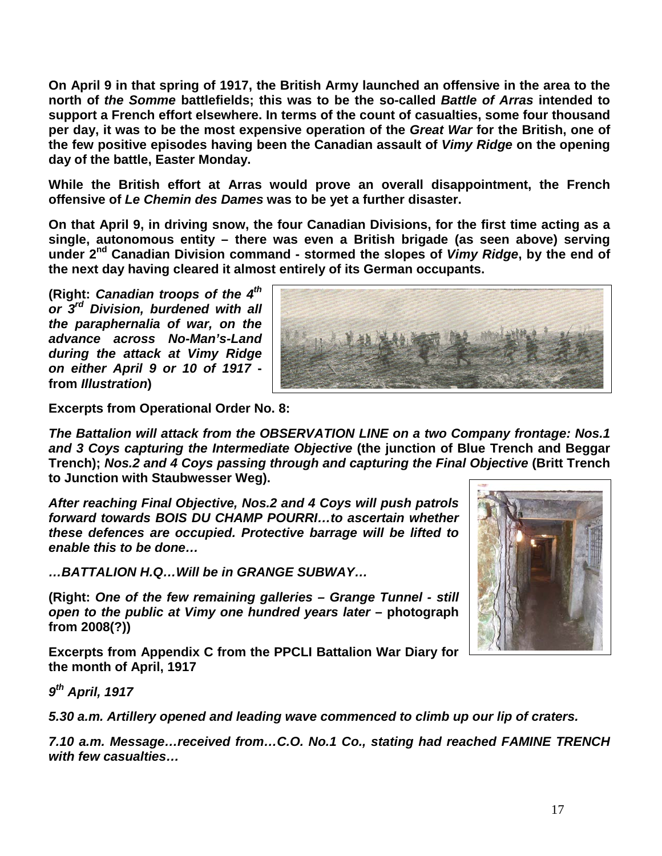**On April 9 in that spring of 1917, the British Army launched an offensive in the area to the north of** *the Somme* **battlefields; this was to be the so-called** *Battle of Arras* **intended to support a French effort elsewhere. In terms of the count of casualties, some four thousand per day, it was to be the most expensive operation of the** *Great War* **for the British, one of the few positive episodes having been the Canadian assault of** *Vimy Ridge* **on the opening day of the battle, Easter Monday.** 

**While the British effort at Arras would prove an overall disappointment, the French offensive of** *Le Chemin des Dames* **was to be yet a further disaster.** 

**On that April 9, in driving snow, the four Canadian Divisions, for the first time acting as a single, autonomous entity – there was even a British brigade (as seen above) serving under 2nd Canadian Division command - stormed the slopes of** *Vimy Ridge***, by the end of the next day having cleared it almost entirely of its German occupants.**

**(Right:** *Canadian troops of the 4th or 3rd Division, burdened with all the paraphernalia of war, on the advance across No-Man's-Land during the attack at Vimy Ridge on either April 9 or 10 of 1917*  **from** *Illustration***)**



**Excerpts from Operational Order No. 8:**

*The Battalion will attack from the OBSERVATION LINE on a two Company frontage: Nos.1 and 3 Coys capturing the Intermediate Objective* **(the junction of Blue Trench and Beggar Trench);** *Nos.2 and 4 Coys passing through and capturing the Final Objective* **(Britt Trench to Junction with Staubwesser Weg).**

*After reaching Final Objective, Nos.2 and 4 Coys will push patrols forward towards BOIS DU CHAMP POURRI…to ascertain whether these defences are occupied. Protective barrage will be lifted to enable this to be done…*

*…BATTALION H.Q…Will be in GRANGE SUBWAY…*

**(Right:** *One of the few remaining galleries – Grange Tunnel - still open to the public at Vimy one hundred years later* **– photograph from 2008(?))**

**Excerpts from Appendix C from the PPCLI Battalion War Diary for the month of April, 1917**



*5.30 a.m. Artillery opened and leading wave commenced to climb up our lip of craters.*

*7.10 a.m. Message…received from…C.O. No.1 Co., stating had reached FAMINE TRENCH with few casualties…*